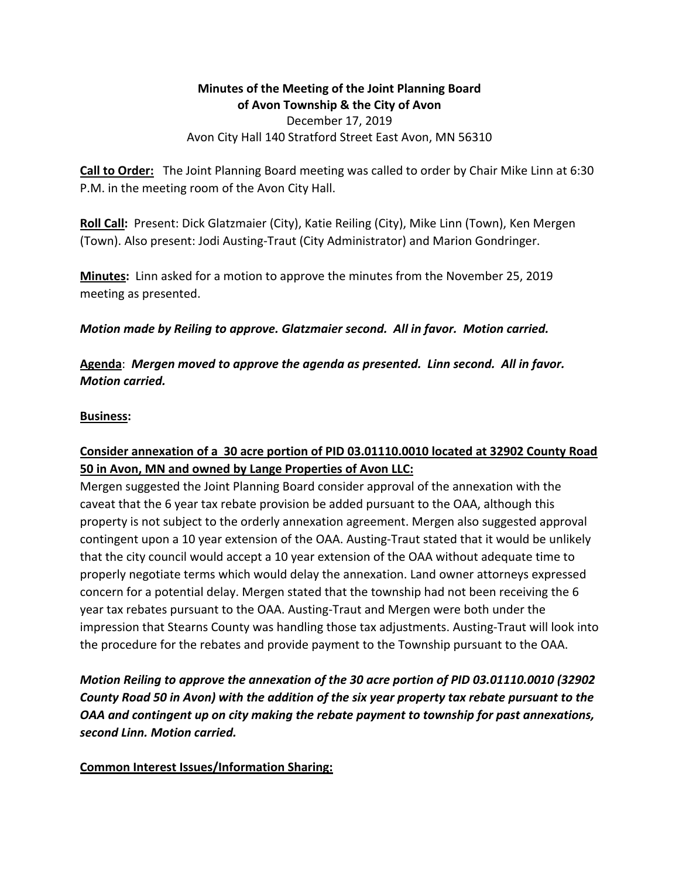## **Minutes of the Meeting of the Joint Planning Board** of Avon Township & the City of Avon December 17, 2019 Avon City Hall 140 Stratford Street East Avon, MN 56310

**Call to Order:** The Joint Planning Board meeting was called to order by Chair Mike Linn at 6:30 P.M. in the meeting room of the Avon City Hall.

**Roll Call:** Present: Dick Glatzmaier (City), Katie Reiling (City), Mike Linn (Town), Ken Mergen (Town). Also present: Jodi Austing-Traut (City Administrator) and Marion Gondringer.

**Minutes:** Linn asked for a motion to approve the minutes from the November 25, 2019 meeting as presented.

*Motion* made by Reiling to approve. Glatzmaier second. All in favor. Motion carried.

Agenda: Mergen moved to approve the agenda as presented. Linn second. All in favor. *Motion carried.*

#### **Business:**

# Consider annexation of a 30 acre portion of PID 03.01110.0010 located at 32902 County Road **50 in Avon, MN and owned by Lange Properties of Avon LLC:**

Mergen suggested the Joint Planning Board consider approval of the annexation with the caveat that the 6 year tax rebate provision be added pursuant to the OAA, although this property is not subject to the orderly annexation agreement. Mergen also suggested approval contingent upon a 10 year extension of the OAA. Austing-Traut stated that it would be unlikely that the city council would accept a 10 year extension of the OAA without adequate time to properly negotiate terms which would delay the annexation. Land owner attorneys expressed concern for a potential delay. Mergen stated that the township had not been receiving the 6 year tax rebates pursuant to the OAA. Austing-Traut and Mergen were both under the impression that Stearns County was handling those tax adjustments. Austing-Traut will look into the procedure for the rebates and provide payment to the Township pursuant to the OAA.

*Motion Reiling to approve the annexation of the 30 acre portion of PID 03.01110.0010 (32902 County Road 50 in Avon)* with the addition of the six year property tax rebate pursuant to the *OAA* and contingent up on city making the rebate payment to township for past annexations, *second Linn. Motion carried.*

### **Common Interest Issues/Information Sharing:**